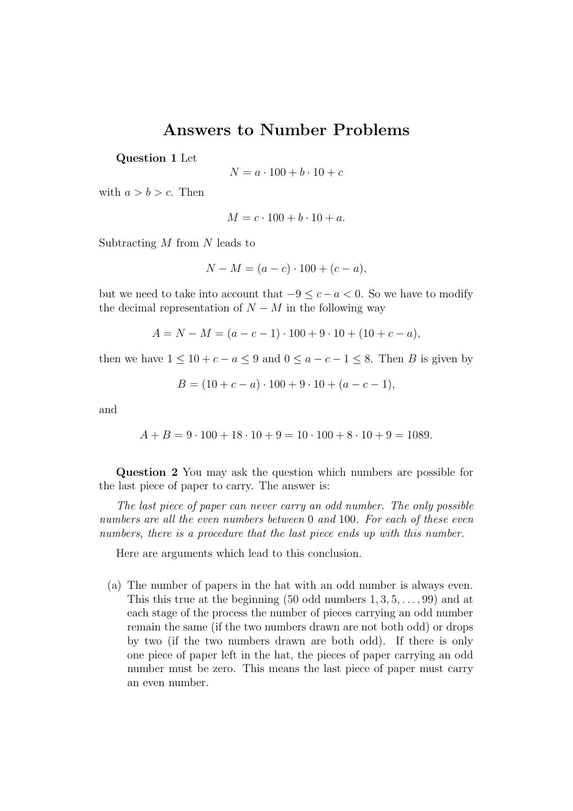## Answers to Number Problems

Question 1 Let

$$
N = a \cdot 100 + b \cdot 10 + c
$$

with  $a > b > c$ . Then

$$
M = c \cdot 100 + b \cdot 10 + a.
$$

Subtracting  $M$  from  $N$  leads to

$$
N - M = (a - c) \cdot 100 + (c - a),
$$

but we need to take into account that  $-9 \leq c - a < 0$ . So we have to modify the decimal representation of  $N - M$  in the following way

$$
A = N - M = (a - c - 1) \cdot 100 + 9 \cdot 10 + (10 + c - a),
$$

then we have  $1 \leq 10 + c - a \leq 9$  and  $0 \leq a - c - 1 \leq 8$ . Then B is given by

$$
B = (10 + c - a) \cdot 100 + 9 \cdot 10 + (a - c - 1),
$$

and

$$
A + B = 9 \cdot 100 + 18 \cdot 10 + 9 = 10 \cdot 100 + 8 \cdot 10 + 9 = 1089.
$$

Question 2 You may ask the question which numbers are possible for the last piece of paper to carry. The answer is:

The last piece of paper can never carry an odd number. The only possible numbers are all the even numbers between 0 and 100. For each of these even numbers, there is a procedure that the last piece ends up with this number.

Here are arguments which lead to this conclusion.

(a) The number of papers in the hat with an odd number is always even. This this true at the beginning  $(50 \text{ odd numbers } 1, 3, 5, \ldots, 99)$  and at each stage of the process the number of pieces carrying an odd number remain the same (if the two numbers drawn are not both odd) or drops by two (if the two numbers drawn are both odd). If there is only one piece of paper left in the hat, the pieces of paper carrying an odd number must be zero. This means the last piece of paper must carry an even number.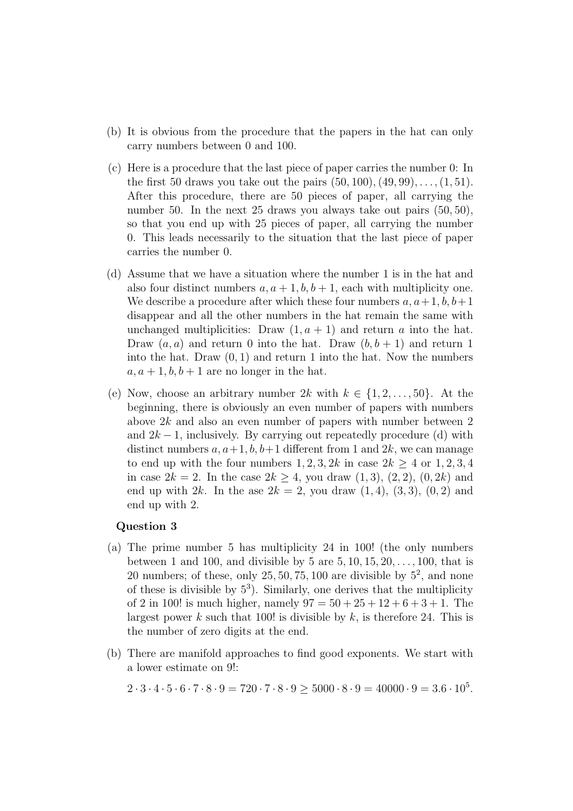- (b) It is obvious from the procedure that the papers in the hat can only carry numbers between 0 and 100.
- (c) Here is a procedure that the last piece of paper carries the number 0: In the first 50 draws you take out the pairs  $(50, 100), (49, 99), \ldots, (1, 51)$ . After this procedure, there are 50 pieces of paper, all carrying the number 50. In the next 25 draws you always take out pairs  $(50, 50)$ , so that you end up with 25 pieces of paper, all carrying the number 0. This leads necessarily to the situation that the last piece of paper carries the number 0.
- (d) Assume that we have a situation where the number 1 is in the hat and also four distinct numbers  $a, a+1, b, b+1$ , each with multiplicity one. We describe a procedure after which these four numbers  $a, a+1, b, b+1$ disappear and all the other numbers in the hat remain the same with unchanged multiplicities: Draw  $(1, a + 1)$  and return a into the hat. Draw  $(a, a)$  and return 0 into the hat. Draw  $(b, b + 1)$  and return 1 into the hat. Draw  $(0, 1)$  and return 1 into the hat. Now the numbers  $a, a+1, b, b+1$  are no longer in the hat.
- (e) Now, choose an arbitrary number 2k with  $k \in \{1, 2, \ldots, 50\}$ . At the beginning, there is obviously an even number of papers with numbers above  $2k$  and also an even number of papers with number between 2 and  $2k-1$ , inclusively. By carrying out repeatedly procedure (d) with distinct numbers  $a, a+1, b, b+1$  different from 1 and  $2k$ , we can manage to end up with the four numbers  $1, 2, 3, 2k$  in case  $2k \geq 4$  or  $1, 2, 3, 4$ in case  $2k = 2$ . In the case  $2k \geq 4$ , you draw  $(1, 3)$ ,  $(2, 2)$ ,  $(0, 2k)$  and end up with 2k. In the ase  $2k = 2$ , you draw  $(1, 4)$ ,  $(3, 3)$ ,  $(0, 2)$  and end up with 2.

## Question 3

- (a) The prime number 5 has multiplicity 24 in 100! (the only numbers between 1 and 100, and divisible by 5 are  $5, 10, 15, 20, \ldots, 100$ , that is 20 numbers; of these, only  $25, 50, 75, 100$  are divisible by  $5^2$ , and none of these is divisible by  $5^3$ ). Similarly, one derives that the multiplicity of 2 in 100! is much higher, namely  $97 = 50 + 25 + 12 + 6 + 3 + 1$ . The largest power k such that 100! is divisible by  $k$ , is therefore 24. This is the number of zero digits at the end.
- (b) There are manifold approaches to find good exponents. We start with a lower estimate on 9!:

 $2 \cdot 3 \cdot 4 \cdot 5 \cdot 6 \cdot 7 \cdot 8 \cdot 9 = 720 \cdot 7 \cdot 8 \cdot 9 \ge 5000 \cdot 8 \cdot 9 = 40000 \cdot 9 = 3.6 \cdot 10^5$ .